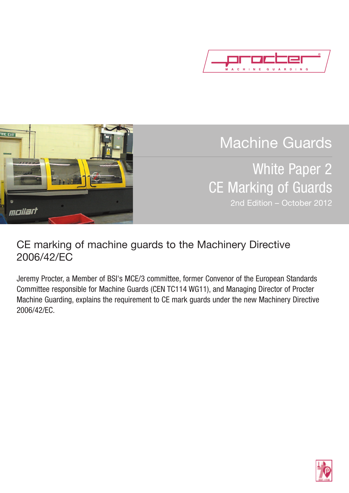



Machine Guards

White Paper 2 CE Marking of Guards 2nd Edition – October 2012

# CE marking of machine guards to the Machinery Directive 2006/42/EC

Jeremy Procter, a Member of BSI's MCE/3 committee, former Convenor of the European Standards Committee responsible for Machine Guards (CEN TC114 WG11), and Managing Director of Procter Machine Guarding, explains the requirement to CE mark guards under the new Machinery Directive 2006/42/EC.

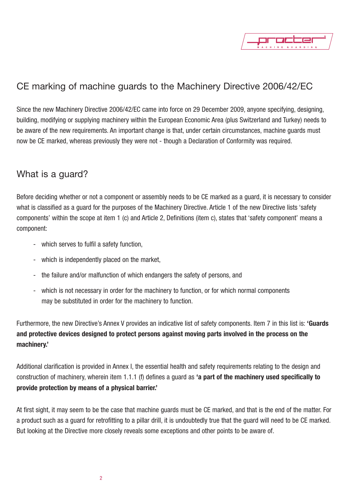

# CE marking of machine guards to the Machinery Directive 2006/42/EC

Since the new Machinery Directive 2006/42/EC came into force on 29 December 2009, anyone specifying, designing, building, modifying or supplying machinery within the European Economic Area (plus Switzerland and Turkey) needs to be aware of the new requirements. An important change is that, under certain circumstances, machine guards must now be CE marked, whereas previously they were not - though a Declaration of Conformity was required.

### What is a guard?

Before deciding whether or not a component or assembly needs to be CE marked as a guard, it is necessary to consider what is classified as a guard for the purposes of the Machinery Directive. Article 1 of the new Directive lists 'safety components' within the scope at item 1 (c) and Article 2, Definitions (item c), states that 'safety component' means a component:

- which serves to fulfil a safety function,
- which is independently placed on the market,
- the failure and/or malfunction of which endangers the safety of persons, and
- which is not necessary in order for the machinery to function, or for which normal components may be substituted in order for the machinery to function.

Furthermore, the new Directive's Annex V provides an indicative list of safety components. Item 7 in this list is: **'Guards and protective devices designed to protect persons against moving parts involved in the process on the machinery.'**

Additional clarification is provided in Annex I, the essential health and safety requirements relating to the design and construction of machinery, wherein item 1.1.1 (f) defines a guard as **'a part of the machinery used specifically to provide protection by means of a physical barrier.'**

At first sight, it may seem to be the case that machine guards must be CE marked, and that is the end of the matter. For a product such as a guard for retrofitting to a pillar drill, it is undoubtedly true that the guard will need to be CE marked. But looking at the Directive more closely reveals some exceptions and other points to be aware of.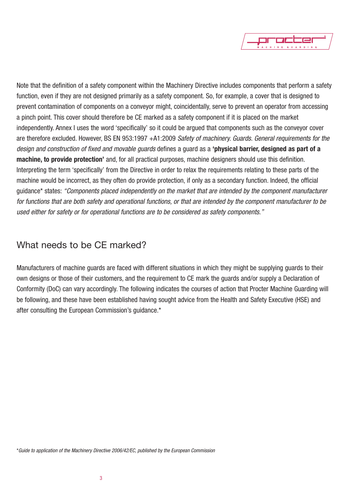

Note that the definition of a safety component within the Machinery Directive includes components that perform a safety function, even if they are not designed primarily as a safety component. So, for example, a cover that is designed to prevent contamination of components on a conveyor might, coincidentally, serve to prevent an operator from accessing a pinch point. This cover should therefore be CE marked as a safety component if it is placed on the market independently. Annex I uses the word 'specifically' so it could be argued that components such as the conveyor cover are therefore excluded. However, BS EN 953:1997 +A1:2009 *Safety of machinery. Guards. General requirements for the design and construction of fixed and movable guards* defines a guard as a **'physical barrier, designed as part of a machine, to provide protection'** and, for all practical purposes, machine designers should use this definition. Interpreting the term 'specifically' from the Directive in order to relax the requirements relating to these parts of the machine would be incorrect, as they often do provide protection, if only as a secondary function. Indeed, the official guidance\* states: *"Components placed independently on the market that are intended by the component manufacturer* for functions that are both safety and operational functions, or that are intended by the component manufacturer to be *used either for safety or for operational functions are to be considered as safety components."*

### What needs to be CE marked?

Manufacturers of machine guards are faced with different situations in which they might be supplying guards to their own designs or those of their customers, and the requirement to CE mark the guards and/or supply a Declaration of Conformity (DoC) can vary accordingly. The following indicates the courses of action that Procter Machine Guarding will be following, and these have been established having sought advice from the Health and Safety Executive (HSE) and after consulting the European Commission's guidance.\*

\**Guide to application of the Machinery Directive 2006/42/EC, published by the European Commission*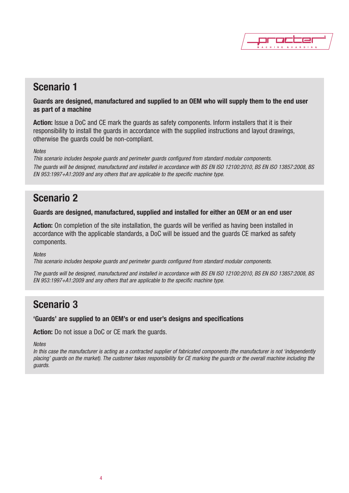

# **Scenario 1**

**Guards are designed, manufactured and supplied to an OEM who will supply them to the end user as part of a machine**

**Action:** Issue a DoC and CE mark the guards as safety components. Inform installers that it is their responsibility to install the guards in accordance with the supplied instructions and layout drawings, otherwise the guards could be non-compliant.

#### *Notes*

*This scenario includes bespoke guards and perimeter guards configured from standard modular components.* The quards will be designed, manufactured and installed in accordance with BS EN ISO 12100:2010, BS EN ISO 13857:2008, BS *EN 953:1997+A1:2009 and any others that are applicable to the specific machine type.*

### **Scenario 2**

#### **Guards are designed, manufactured, supplied and installed for either an OEM or an end user**

**Action:** On completion of the site installation, the guards will be verified as having been installed in accordance with the applicable standards, a DoC will be issued and the guards CE marked as safety components.

#### *Notes*

*This scenario includes bespoke guards and perimeter guards configured from standard modular components.*

The guards will be designed, manufactured and installed in accordance with BS EN ISO 12100:2010, BS EN ISO 13857:2008, BS *EN 953:1997+A1:2009 and any others that are applicable to the specific machine type.*

## **Scenario 3**

#### **'Guards' are supplied to an OEM's or end user's designs and specifications**

**Action:** Do not issue a DoC or CE mark the guards.

*Notes*

In this case the manufacturer is acting as a contracted supplier of fabricated components (the manufacturer is not 'independently placing' guards on the market). The customer takes responsibility for CE marking the guards or the overall machine including the *guards.*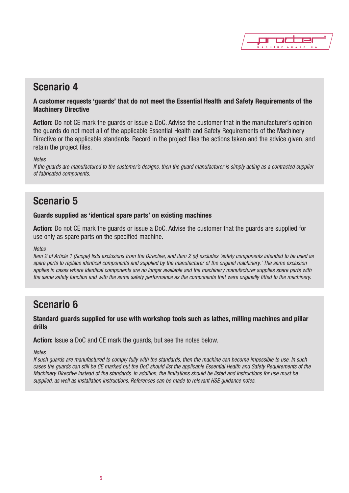

## **Scenario 4**

#### **A customer requests 'guards' that do not meet the Essential Health and Safety Requirements of the Machinery Directive**

**Action:** Do not CE mark the guards or issue a DoC. Advise the customer that in the manufacturer's opinion the guards do not meet all of the applicable Essential Health and Safety Requirements of the Machinery Directive or the applicable standards. Record in the project files the actions taken and the advice given, and retain the project files.

#### *Notes*

If the guards are manufactured to the customer's designs, then the guard manufacturer is simply acting as a contracted supplier *of fabricated components.*

## **Scenario 5**

#### **Guards supplied as 'identical spare parts' on existing machines**

**Action:** Do not CE mark the guards or issue a DoC. Advise the customer that the guards are supplied for use only as spare parts on the specified machine.

#### *Notes*

Item 2 of Article 1 (Scope) lists exclusions from the Directive, and item 2 (a) excludes 'safety components intended to be used as spare parts to replace identical components and supplied by the manufacturer of the original machinery.' The same exclusion applies in cases where identical components are no longer available and the machinery manufacturer supplies spare parts with the same safety function and with the same safety performance as the components that were originally fitted to the machinery.

## **Scenario 6**

**Standard guards supplied for use with workshop tools such as lathes, milling machines and pillar drills**

**Action:** Issue a DoC and CE mark the guards, but see the notes below.

#### *Notes*

If such guards are manufactured to comply fully with the standards, then the machine can become impossible to use. In such cases the guards can still be CE marked but the DoC should list the applicable Essential Health and Safety Requirements of the Machinery Directive instead of the standards. In addition, the limitations should be listed and instructions for use must be *supplied, as well as installation instructions. References can be made to relevant HSE guidance notes.*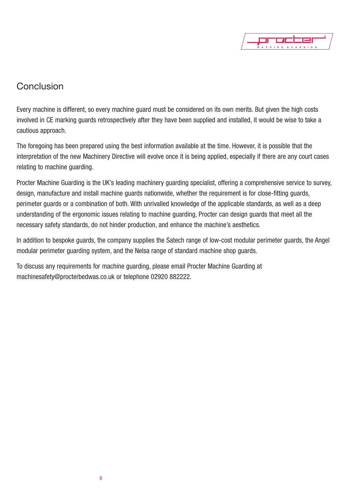

## **Conclusion**

Every machine is different, so every machine guard must be considered on its own merits. But given the high costs involved in CE marking guards retrospectively after they have been supplied and installed, it would be wise to take a cautious approach.

The foregoing has been prepared using the best information available at the time. However, it is possible that the interpretation of the new Machinery Directive will evolve once it is being applied, especially if there are any court cases relating to machine guarding.

Procter Machine Guarding is the UK's leading machinery guarding specialist, offering a comprehensive service to survey, design, manufacture and install machine guards nationwide, whether the requirement is for close-fitting guards, perimeter guards or a combination of both. With unrivalled knowledge of the applicable standards, as well as a deep understanding of the ergonomic issues relating to machine guarding, Procter can design guards that meet all the necessary safety standards, do not hinder production, and enhance the machine's aesthetics.

In addition to bespoke guards, the company supplies the Satech range of low-cost modular perimeter guards, the Angel modular perimeter guarding system, and the Nelsa range of standard machine shop guards.

To discuss any requirements for machine guarding, please email Procter Machine Guarding at machinesafety@procterbedwas.co.uk or telephone 02920 882222.